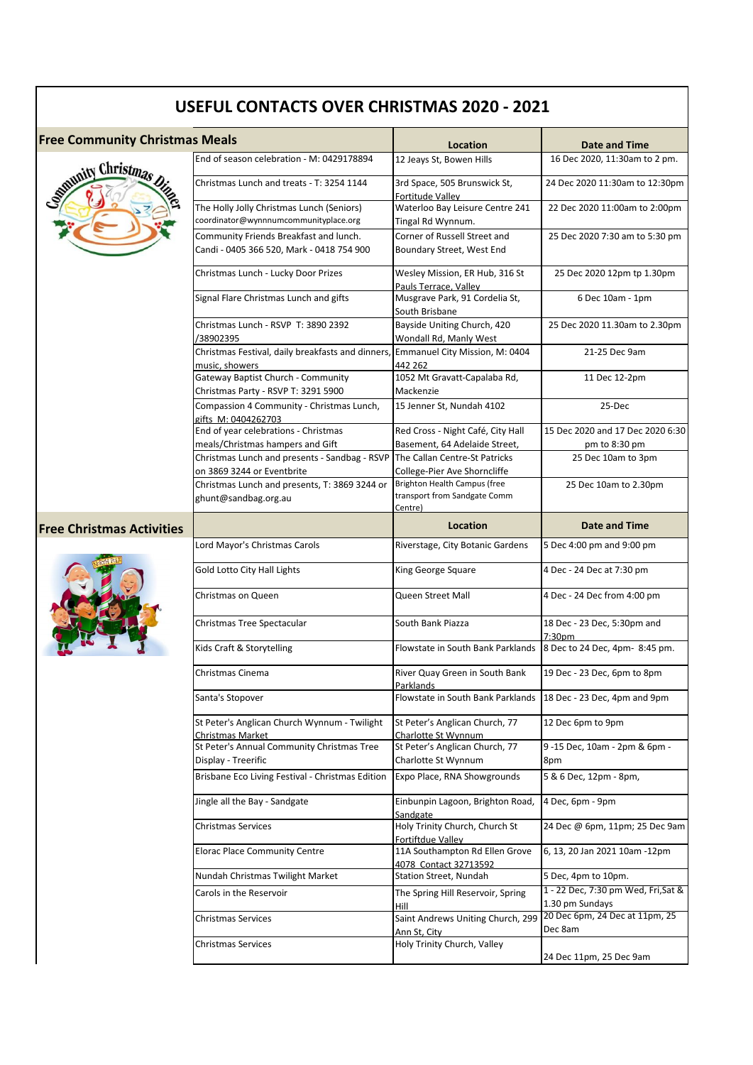| <b>Free Community Christmas Meals</b> |                                                                                                    | Location                                                                 | Date and Time                                          |
|---------------------------------------|----------------------------------------------------------------------------------------------------|--------------------------------------------------------------------------|--------------------------------------------------------|
|                                       | End of season celebration - M: 0429178894                                                          | 12 Jeays St, Bowen Hills                                                 | 16 Dec 2020, 11:30am to 2 pm.                          |
| Summity Christmas Dis                 | Christmas Lunch and treats - T: 3254 1144                                                          | 3rd Space, 505 Brunswick St,                                             | 24 Dec 2020 11:30am to 12:30pm                         |
|                                       | The Holly Jolly Christmas Lunch (Seniors)<br>coordinator@wynnnumcommunityplace.org                 | Fortitude Valley<br>Waterloo Bay Leisure Centre 241<br>Tingal Rd Wynnum. | 22 Dec 2020 11:00am to 2:00pm                          |
|                                       | Community Friends Breakfast and lunch.<br>Candi - 0405 366 520, Mark - 0418 754 900                | Corner of Russell Street and<br>Boundary Street, West End                | 25 Dec 2020 7:30 am to 5:30 pm                         |
|                                       | Christmas Lunch - Lucky Door Prizes                                                                | Wesley Mission, ER Hub, 316 St<br>Pauls Terrace. Valley                  | 25 Dec 2020 12pm tp 1.30pm                             |
|                                       | Signal Flare Christmas Lunch and gifts                                                             | Musgrave Park, 91 Cordelia St,<br>South Brisbane                         | 6 Dec 10am - 1pm                                       |
|                                       | Christmas Lunch - RSVP T: 3890 2392<br>/38902395                                                   | Bayside Uniting Church, 420<br>Wondall Rd, Manly West                    | 25 Dec 2020 11.30am to 2.30pm                          |
|                                       | Christmas Festival, daily breakfasts and dinners, Emmanuel City Mission, M: 0404<br>music, showers | 442 262                                                                  | 21-25 Dec 9am                                          |
|                                       | Gateway Baptist Church - Community<br>Christmas Party - RSVP T: 3291 5900                          | 1052 Mt Gravatt-Capalaba Rd,<br>Mackenzie                                | 11 Dec 12-2pm                                          |
|                                       | Compassion 4 Community - Christmas Lunch,<br>gifts M: 0404262703                                   | 15 Jenner St, Nundah 4102                                                | 25-Dec                                                 |
|                                       | End of year celebrations - Christmas<br>meals/Christmas hampers and Gift                           | Red Cross - Night Café, City Hall<br>Basement, 64 Adelaide Street,       | 15 Dec 2020 and 17 Dec 2020 6:30<br>pm to 8:30 pm      |
|                                       | Christmas Lunch and presents - Sandbag - RSVP<br>on 3869 3244 or Eventbrite                        | The Callan Centre-St Patricks<br>College-Pier Ave Shorncliffe            | 25 Dec 10am to 3pm                                     |
|                                       | Christmas Lunch and presents, T: 3869 3244 or<br>ghunt@sandbag.org.au                              | Brighton Health Campus (free<br>transport from Sandgate Comm<br>Centre)  | 25 Dec 10am to 2.30pm                                  |
| <b>Free Christmas Activities</b>      |                                                                                                    | Location                                                                 | <b>Date and Time</b>                                   |
|                                       | Lord Mayor's Christmas Carols                                                                      | Riverstage, City Botanic Gardens                                         | 5 Dec 4:00 pm and 9:00 pm                              |
|                                       | Gold Lotto City Hall Lights                                                                        | King George Square                                                       | 4 Dec - 24 Dec at 7:30 pm                              |
|                                       | Christmas on Queen                                                                                 | Queen Street Mall                                                        | 4 Dec - 24 Dec from 4:00 pm                            |
|                                       | Christmas Tree Spectacular                                                                         | South Bank Piazza                                                        | 18 Dec - 23 Dec, 5:30pm and<br>7:30pm                  |
|                                       | Kids Craft & Storytelling                                                                          | Flowstate in South Bank Parklands 8 Dec to 24 Dec, 4pm-8:45 pm.          |                                                        |
|                                       | Christmas Cinema                                                                                   | River Quay Green in South Bank<br>Parklands                              | 19 Dec - 23 Dec, 6pm to 8pm                            |
|                                       | Santa's Stopover                                                                                   | Flowstate in South Bank Parklands                                        | 18 Dec - 23 Dec, 4pm and 9pm                           |
|                                       | St Peter's Anglican Church Wynnum - Twilight<br><b>Christmas Market</b>                            | St Peter's Anglican Church, 77<br>Charlotte St Wynnum                    | 12 Dec 6pm to 9pm                                      |
|                                       | St Peter's Annual Community Christmas Tree<br>Display - Treerific                                  | St Peter's Anglican Church, 77<br>Charlotte St Wynnum                    | 9-15 Dec, 10am - 2pm & 6pm -<br>8pm                    |
|                                       | Brisbane Eco Living Festival - Christmas Edition                                                   | Expo Place, RNA Showgrounds                                              | 5 & 6 Dec, 12pm - 8pm,                                 |
|                                       | Jingle all the Bay - Sandgate                                                                      | Einbunpin Lagoon, Brighton Road,<br>Sandgate                             | 4 Dec, 6pm - 9pm                                       |
|                                       | Christmas Services                                                                                 | Holy Trinity Church, Church St<br>Fortiftdue Vallev                      | 24 Dec @ 6pm, 11pm; 25 Dec 9am                         |
|                                       | <b>Elorac Place Community Centre</b>                                                               | 11A Southampton Rd Ellen Grove<br>4078 Contact 32713592                  | 6, 13, 20 Jan 2021 10am -12pm                          |
|                                       | Nundah Christmas Twilight Market                                                                   | Station Street, Nundah                                                   | 5 Dec, 4pm to 10pm.                                    |
|                                       | Carols in the Reservoir                                                                            | The Spring Hill Reservoir, Spring<br>Hill                                | 1 - 22 Dec, 7:30 pm Wed, Fri, Sat &<br>1.30 pm Sundays |
|                                       | Christmas Services                                                                                 | Saint Andrews Uniting Church, 299<br>Ann St, City                        | 20 Dec 6pm, 24 Dec at 11pm, 25<br>Dec 8am              |
|                                       | Christmas Services                                                                                 | Holy Trinity Church, Valley                                              | 24 Dec 11pm, 25 Dec 9am                                |